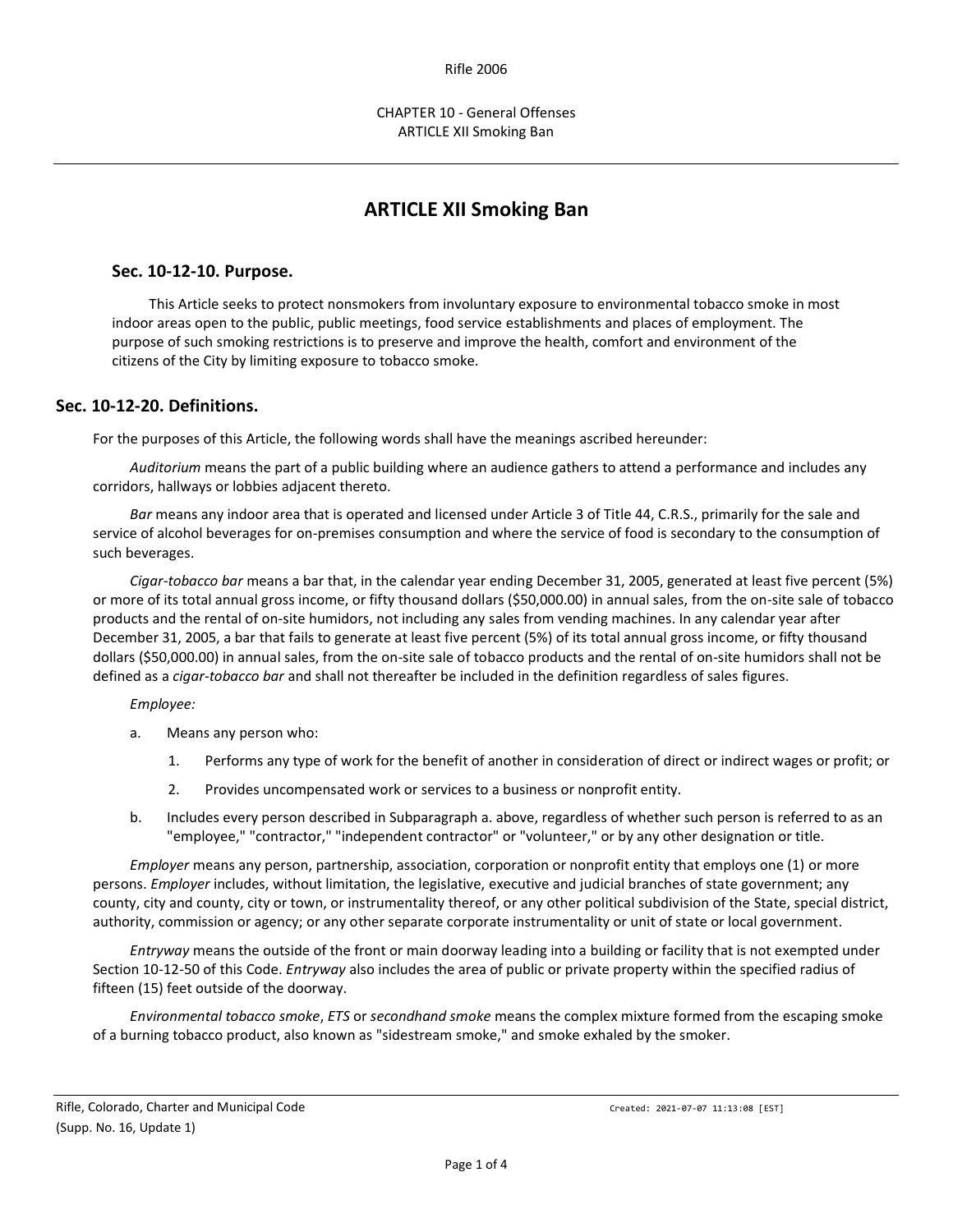# **ARTICLE XII Smoking Ban**

## **Sec. 10-12-10. Purpose.**

This Article seeks to protect nonsmokers from involuntary exposure to environmental tobacco smoke in most indoor areas open to the public, public meetings, food service establishments and places of employment. The purpose of such smoking restrictions is to preserve and improve the health, comfort and environment of the citizens of the City by limiting exposure to tobacco smoke.

## **Sec. 10-12-20. Definitions.**

For the purposes of this Article, the following words shall have the meanings ascribed hereunder:

*Auditorium* means the part of a public building where an audience gathers to attend a performance and includes any corridors, hallways or lobbies adjacent thereto.

*Bar* means any indoor area that is operated and licensed under Article 3 of Title 44, C.R.S., primarily for the sale and service of alcohol beverages for on-premises consumption and where the service of food is secondary to the consumption of such beverages.

*Cigar-tobacco bar* means a bar that, in the calendar year ending December 31, 2005, generated at least five percent (5%) or more of its total annual gross income, or fifty thousand dollars (\$50,000.00) in annual sales, from the on-site sale of tobacco products and the rental of on-site humidors, not including any sales from vending machines. In any calendar year after December 31, 2005, a bar that fails to generate at least five percent (5%) of its total annual gross income, or fifty thousand dollars (\$50,000.00) in annual sales, from the on-site sale of tobacco products and the rental of on-site humidors shall not be defined as a *cigar-tobacco bar* and shall not thereafter be included in the definition regardless of sales figures.

### *Employee:*

- a. Means any person who:
	- 1. Performs any type of work for the benefit of another in consideration of direct or indirect wages or profit; or
	- 2. Provides uncompensated work or services to a business or nonprofit entity.
- b. Includes every person described in Subparagraph a. above, regardless of whether such person is referred to as an "employee," "contractor," "independent contractor" or "volunteer," or by any other designation or title.

*Employer* means any person, partnership, association, corporation or nonprofit entity that employs one (1) or more persons. *Employer* includes, without limitation, the legislative, executive and judicial branches of state government; any county, city and county, city or town, or instrumentality thereof, or any other political subdivision of the State, special district, authority, commission or agency; or any other separate corporate instrumentality or unit of state or local government.

*Entryway* means the outside of the front or main doorway leading into a building or facility that is not exempted under Section 10-12-50 of this Code. *Entryway* also includes the area of public or private property within the specified radius of fifteen (15) feet outside of the doorway.

*Environmental tobacco smoke*, *ETS* or *secondhand smoke* means the complex mixture formed from the escaping smoke of a burning tobacco product, also known as "sidestream smoke," and smoke exhaled by the smoker.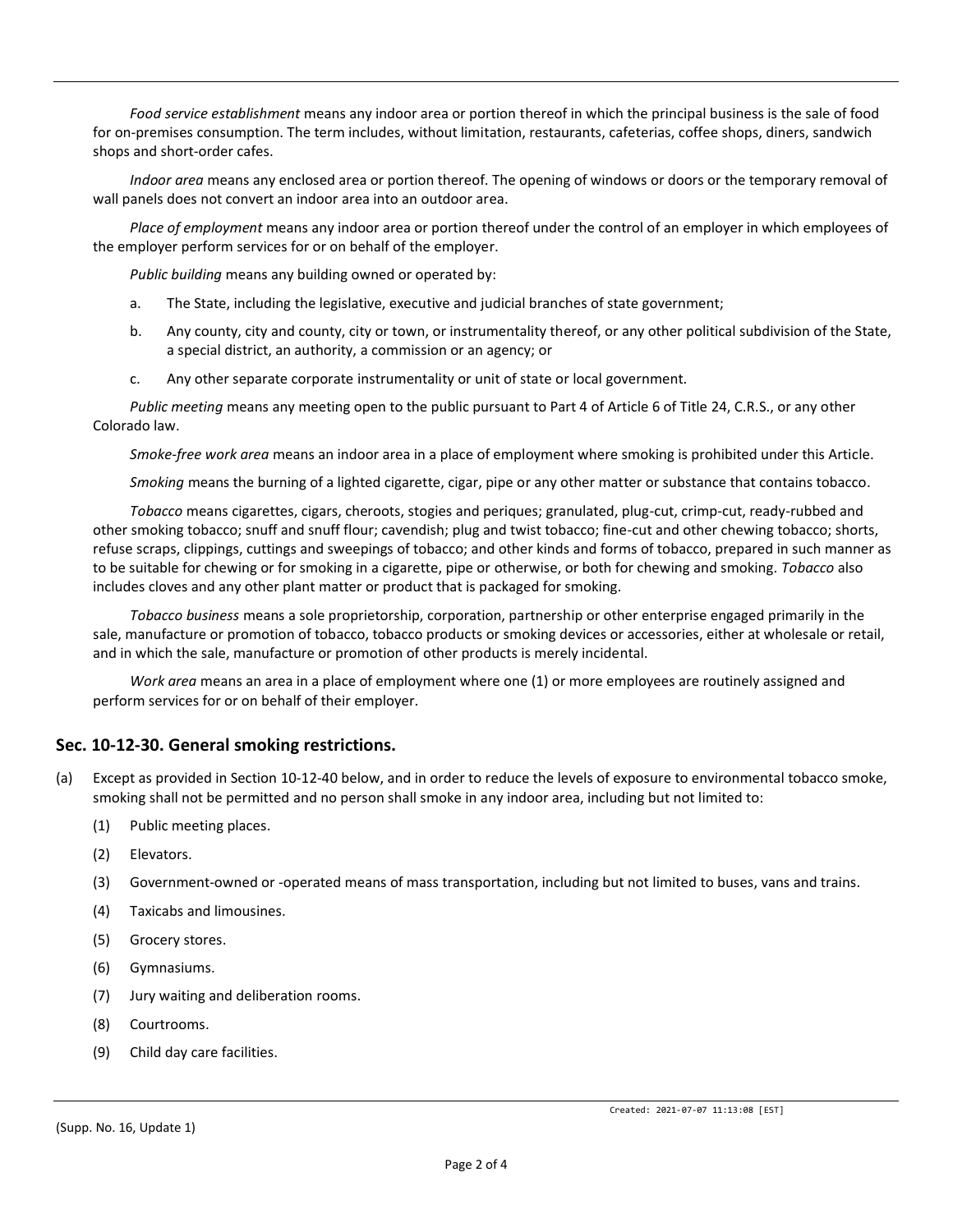*Food service establishment* means any indoor area or portion thereof in which the principal business is the sale of food for on-premises consumption. The term includes, without limitation, restaurants, cafeterias, coffee shops, diners, sandwich shops and short-order cafes.

*Indoor area* means any enclosed area or portion thereof. The opening of windows or doors or the temporary removal of wall panels does not convert an indoor area into an outdoor area.

*Place of employment* means any indoor area or portion thereof under the control of an employer in which employees of the employer perform services for or on behalf of the employer.

*Public building* means any building owned or operated by:

- a. The State, including the legislative, executive and judicial branches of state government;
- b. Any county, city and county, city or town, or instrumentality thereof, or any other political subdivision of the State, a special district, an authority, a commission or an agency; or
- c. Any other separate corporate instrumentality or unit of state or local government.

*Public meeting* means any meeting open to the public pursuant to Part 4 of Article 6 of Title 24, C.R.S., or any other Colorado law.

*Smoke-free work area* means an indoor area in a place of employment where smoking is prohibited under this Article.

*Smoking* means the burning of a lighted cigarette, cigar, pipe or any other matter or substance that contains tobacco.

*Tobacco* means cigarettes, cigars, cheroots, stogies and periques; granulated, plug-cut, crimp-cut, ready-rubbed and other smoking tobacco; snuff and snuff flour; cavendish; plug and twist tobacco; fine-cut and other chewing tobacco; shorts, refuse scraps, clippings, cuttings and sweepings of tobacco; and other kinds and forms of tobacco, prepared in such manner as to be suitable for chewing or for smoking in a cigarette, pipe or otherwise, or both for chewing and smoking. *Tobacco* also includes cloves and any other plant matter or product that is packaged for smoking.

*Tobacco business* means a sole proprietorship, corporation, partnership or other enterprise engaged primarily in the sale, manufacture or promotion of tobacco, tobacco products or smoking devices or accessories, either at wholesale or retail, and in which the sale, manufacture or promotion of other products is merely incidental.

*Work area* means an area in a place of employment where one (1) or more employees are routinely assigned and perform services for or on behalf of their employer.

## **Sec. 10-12-30. General smoking restrictions.**

(a) Except as provided in Section 10-12-40 below, and in order to reduce the levels of exposure to environmental tobacco smoke, smoking shall not be permitted and no person shall smoke in any indoor area, including but not limited to:

- (1) Public meeting places.
- (2) Elevators.
- (3) Government-owned or -operated means of mass transportation, including but not limited to buses, vans and trains.
- (4) Taxicabs and limousines.
- (5) Grocery stores.
- (6) Gymnasiums.
- (7) Jury waiting and deliberation rooms.
- (8) Courtrooms.
- (9) Child day care facilities.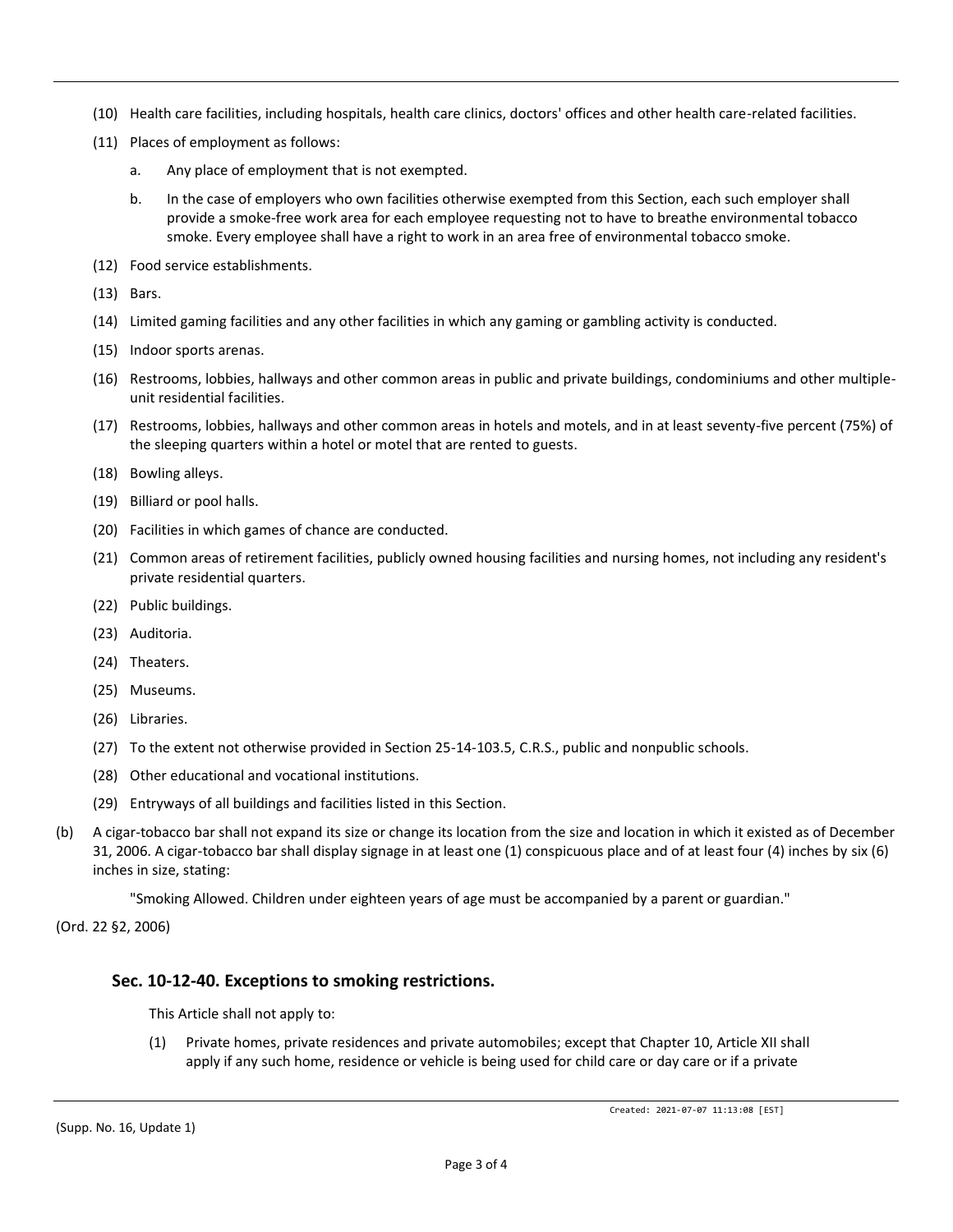- (10) Health care facilities, including hospitals, health care clinics, doctors' offices and other health care-related facilities.
- (11) Places of employment as follows:
	- a. Any place of employment that is not exempted.
	- b. In the case of employers who own facilities otherwise exempted from this Section, each such employer shall provide a smoke-free work area for each employee requesting not to have to breathe environmental tobacco smoke. Every employee shall have a right to work in an area free of environmental tobacco smoke.
- (12) Food service establishments.
- (13) Bars.
- (14) Limited gaming facilities and any other facilities in which any gaming or gambling activity is conducted.
- (15) Indoor sports arenas.
- (16) Restrooms, lobbies, hallways and other common areas in public and private buildings, condominiums and other multipleunit residential facilities.
- (17) Restrooms, lobbies, hallways and other common areas in hotels and motels, and in at least seventy-five percent (75%) of the sleeping quarters within a hotel or motel that are rented to guests.
- (18) Bowling alleys.
- (19) Billiard or pool halls.
- (20) Facilities in which games of chance are conducted.
- (21) Common areas of retirement facilities, publicly owned housing facilities and nursing homes, not including any resident's private residential quarters.
- (22) Public buildings.
- (23) Auditoria.
- (24) Theaters.
- (25) Museums.
- (26) Libraries.
- (27) To the extent not otherwise provided in Section 25-14-103.5, C.R.S., public and nonpublic schools.
- (28) Other educational and vocational institutions.
- (29) Entryways of all buildings and facilities listed in this Section.
- (b) A cigar-tobacco bar shall not expand its size or change its location from the size and location in which it existed as of December 31, 2006. A cigar-tobacco bar shall display signage in at least one (1) conspicuous place and of at least four (4) inches by six (6) inches in size, stating:

"Smoking Allowed. Children under eighteen years of age must be accompanied by a parent or guardian."

(Ord. 22 §2, 2006)

### **Sec. 10-12-40. Exceptions to smoking restrictions.**

This Article shall not apply to:

(1) Private homes, private residences and private automobiles; except that Chapter 10, Article XII shall apply if any such home, residence or vehicle is being used for child care or day care or if a private